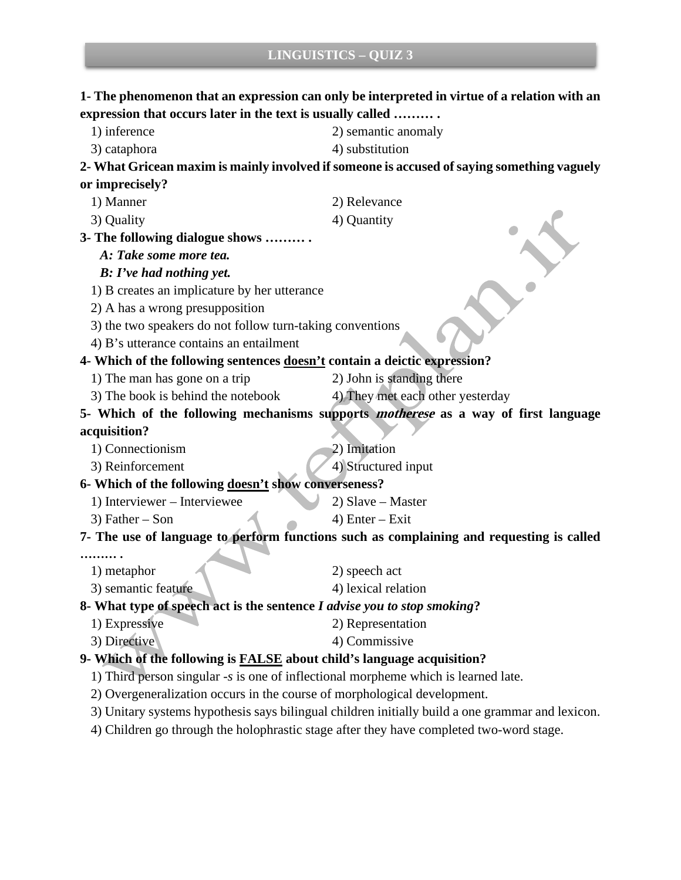**1- The phenomenon that an expression can only be interpreted in virtue of a relation with an** 

**expression that occurs later in the text is usually called ……… .** 1) inference 2) semantic anomaly 3) cataphora (4) substitution **2- What Gricean maxim is mainly involved if someone is accused of saying something vaguely or imprecisely?** 1) Manner 2) Relevance 3) Quality 4) Quantity **3- The following dialogue shows ……… .** *A: Take some more tea. B: I've had nothing yet.* 1) B creates an implicature by her utterance 2) A has a wrong presupposition 3) the two speakers do not follow turn-taking conventions 4) B's utterance contains an entailment **4- Which of the following sentences doesn't contain a deictic expression?** 1) The man has gone on a trip 2) John is standing there 3) The book is behind the notebook 4) They met each other yesterday **5- Which of the following mechanisms supports motherese as a way of first language acquisition?** 1) Connectionism 2) Imitation 3) Reinforcement 4) Structured input **6- Which of the following doesn't show converseness?** 1) Interviewer – Interviewee 2) Slave – Master  $3)$  Father – Son  $4)$  Enter – Exit **7- The use of language to perform functions such as complaining and requesting is called ……… .** 1) metaphor 2) speech act 3) semantic feature 4) lexical relation **8- What type of speech act is the sentence** *I advise you to stop smoking***?** 1) Expressive 2) Representation 3) Directive 4) Commissive **9- Which of the following is FALSE about child's language acquisition?** 1) Third person singular *-s* is one of inflectional morpheme which is learned late. 2) Overgeneralization occurs in the course of morphological development. 3) Unitary systems hypothesis says bilingual children initially build a one grammar and lexicon. 4) Children go through the holophrastic stage after they have completed two-word stage.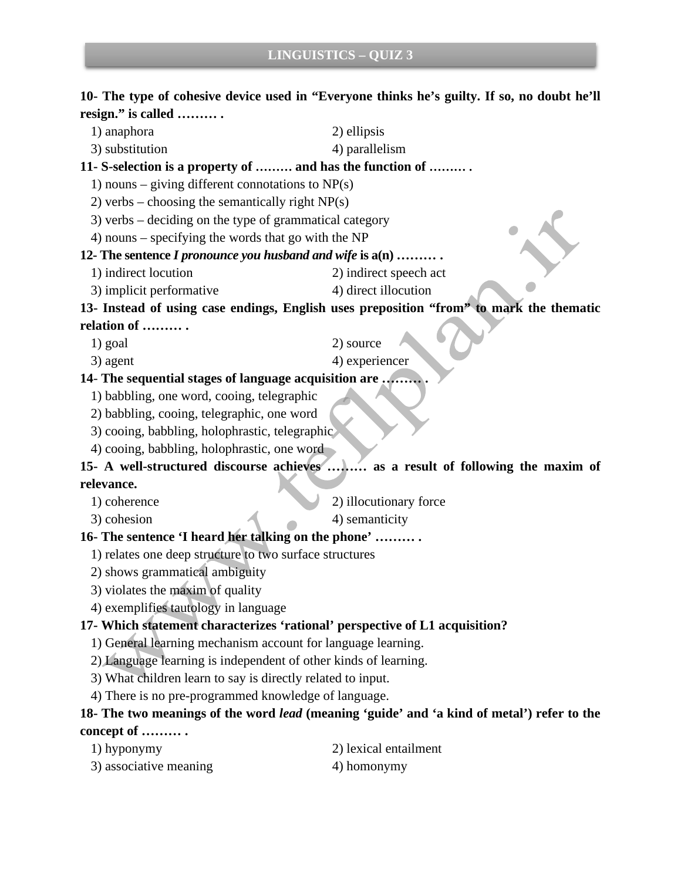## **10- The type of cohesive device used in "Everyone thinks he's guilty. If so, no doubt he'll resign." is called ……… .**

1) anaphora 2) ellipsis 3) substitution 4) parallelism **11- S-selection is a property of ……… and has the function of ……… .** 1) nouns – giving different connotations to  $NP(s)$ 2) verbs – choosing the semantically right  $NP(s)$ 3) verbs – deciding on the type of grammatical category 4) nouns – specifying the words that go with the NP **12- The sentence** *I pronounce you husband and wife* **is a(n) ……… .** 1) indirect locution 2) indirect speech act 3) implicit performative 4) direct illocution **13- Instead of using case endings, English uses preposition "from" to mark the thematic relation of ……… .** 1) goal 2) source 3) agent 4) experiencer **14**- **The sequential stages of language acquisition are ……… .** 1) babbling, one word, cooing, telegraphic 2) babbling, cooing, telegraphic, one word 3) cooing, babbling, holophrastic, telegraphic

4) cooing, babbling, holophrastic, one word

**15- A well-structured discourse achieves ……… as a result of following the maxim of relevance.**

1) coherence 2) illocutionary force

3) cohesion 4) semanticity

### **16- The sentence 'I heard her talking on the phone' ……… .**

- 1) relates one deep structure to two surface structures
- 2) shows grammatical ambiguity
- 3) violates the maxim of quality
- 4) exemplifies tautology in language

#### **17- Which statement characterizes 'rational' perspective of L1 acquisition?**

- 1) General learning mechanism account for language learning.
- 2) Language learning is independent of other kinds of learning.
- 3) What children learn to say is directly related to input.

4) There is no pre-programmed knowledge of language.

# **18- The two meanings of the word** *lead* **(meaning 'guide' and 'a kind of metal') refer to the concept of ……… .**

- 
- 1) hyponymy 2) lexical entailment
- 3) associative meaning 4) homonymy
-